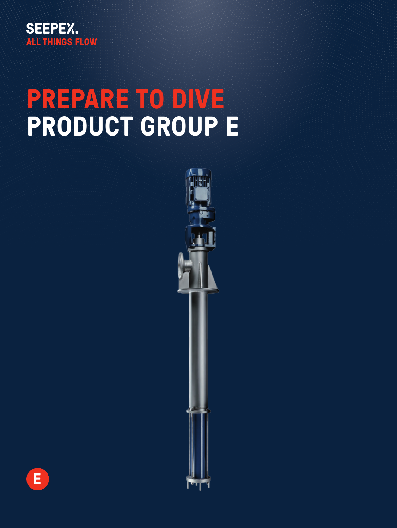

# **PREPARE TO DIVE PRODUCT GROUP E**



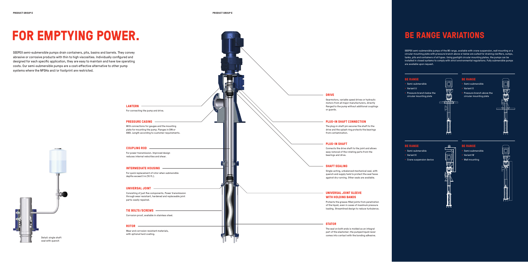# FOR EMPTYING POWER. **BE RANGE VARIATIONS**

SEEPEX semi-submersible pumps drain containers, pits, basins and barrels. They convey abrasive or corrosive products with thin to high viscosities. Individually configured and designed for each specific application, they are easy to maintain and have low operating costs. Our semi-submersible pumps are a cost-effective alternative to other pump systems where the NPSHa and/or footprint are restricted.

#### **PRESSURE CASING**

With connections for gauges and the mounting plate for mounting the pump. Flanges in DIN or ANSI. Length according to customer requirements.

### **LANTERN**

For connecting the pump and drive.

### **UNIVERSAL JOINT SLEEVE WITH HOLDING BANDS**

Protects the grease-filled joints from penetration of the liquid, even in cases of maximum pressure loading. Streamlined design to reduce turbulence. **TIE BOLTS/SCREWS**

Corrosion proof, available in stainless steel.

#### **ROTOR**

Wear and corrosion resistant materials, with optional hard coating.

#### **COUPLING ROD**

For power transmission. Improved design reduces internal velocities and shear.

#### **INTERMEDIATE HOUSING**

For quick replacement of rotor when submersible depths exceed 3 m (10 ft.).

#### **UNIVERSAL JOINT**

Consisting of just five components. Power transmission through wear resistant, hardened and replaceable joint parts: easily repaired.

#### **STATOR**

The seal on both ends is molded as an integral part of the elastomer; the pumped liquid never comes into contact with the bonding adhesive.

#### **PLUG-IN SHAFT**

Connects the drive shaft to the joint and allows easy removal of the rotating parts from the bearings and drive.

#### **DRIVE**

Gearmotors, variable speed drives or hydraulic motors from all major manufacturers, directly flanged to the pump without additional couplings or guards.

#### **PLUG-IN SHAFT CONNECTION**

The plug-in shaft pin secures the shaft to the drive and the splash ring protects the bearings from contamination.



SEEPEX semi-submersible pumps of the BE range, available with crane suspension, wall mounting or a circular mounting plate with pressure branch above or below are suited for draining clarifiers, sumps, tanks, pits and containers of all types. Using gastight circular mounting plates, the pumps can be installed in closed systems to comply with strict environmental regulations. Fully submersible pumps are available upon request.

#### **SHAFT SEALING**

Single-acting, unbalanced mechanical seal, with quench and supply tank to protect the seal faces against dry running. Other seals are available.